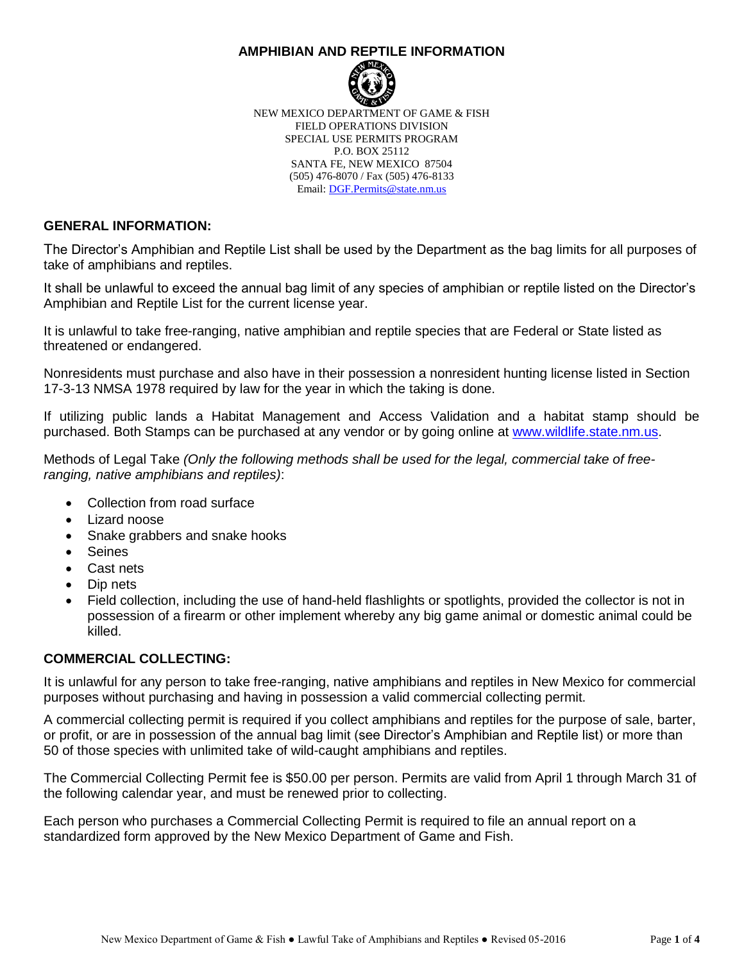#### **AMPHIBIAN AND REPTILE INFORMATION**



NEW MEXICO DEPARTMENT OF GAME & FISH FIELD OPERATIONS DIVISION SPECIAL USE PERMITS PROGRAM P.O. BOX 25112 SANTA FE, NEW MEXICO 87504 (505) 476-8070 / Fax (505) 476-8133 Email: [DGF.Permits@state.nm.us](mailto:DGF.Permits@state.nm.us)

## **GENERAL INFORMATION:**

The Director's Amphibian and Reptile List shall be used by the Department as the bag limits for all purposes of take of amphibians and reptiles.

It shall be unlawful to exceed the annual bag limit of any species of amphibian or reptile listed on the Director's Amphibian and Reptile List for the current license year.

It is unlawful to take free-ranging, native amphibian and reptile species that are Federal or State listed as threatened or endangered.

Nonresidents must purchase and also have in their possession a nonresident hunting license listed in Section 17-3-13 NMSA 1978 required by law for the year in which the taking is done.

If utilizing public lands a Habitat Management and Access Validation and a habitat stamp should be purchased. Both Stamps can be purchased at any vendor or by going online at [www.wildlife.state.nm.us.](http://www.wildlife.state.nm.us/)

Methods of Legal Take *(Only the following methods shall be used for the legal, commercial take of freeranging, native amphibians and reptiles)*:

- Collection from road surface
- Lizard noose
- Snake grabbers and snake hooks
- Seines
- Cast nets
- Dip nets
- Field collection, including the use of hand-held flashlights or spotlights, provided the collector is not in possession of a firearm or other implement whereby any big game animal or domestic animal could be killed.

## **COMMERCIAL COLLECTING:**

It is unlawful for any person to take free-ranging, native amphibians and reptiles in New Mexico for commercial purposes without purchasing and having in possession a valid commercial collecting permit.

A commercial collecting permit is required if you collect amphibians and reptiles for the purpose of sale, barter, or profit, or are in possession of the annual bag limit (see Director's Amphibian and Reptile list) or more than 50 of those species with unlimited take of wild-caught amphibians and reptiles.

The Commercial Collecting Permit fee is \$50.00 per person. Permits are valid from April 1 through March 31 of the following calendar year, and must be renewed prior to collecting.

Each person who purchases a Commercial Collecting Permit is required to file an annual report on a standardized form approved by the New Mexico Department of Game and Fish.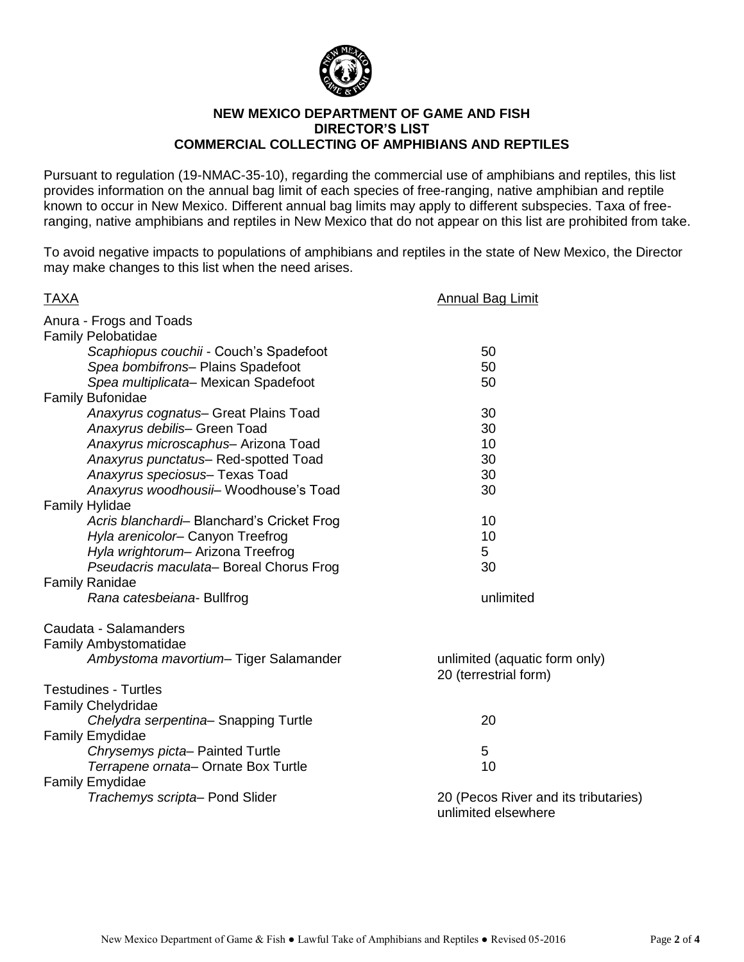

#### **NEW MEXICO DEPARTMENT OF GAME AND FISH DIRECTOR'S LIST COMMERCIAL COLLECTING OF AMPHIBIANS AND REPTILES**

Pursuant to regulation (19-NMAC-35-10), regarding the commercial use of amphibians and reptiles, this list provides information on the annual bag limit of each species of free-ranging, native amphibian and reptile known to occur in New Mexico. Different annual bag limits may apply to different subspecies. Taxa of freeranging, native amphibians and reptiles in New Mexico that do not appear on this list are prohibited from take.

To avoid negative impacts to populations of amphibians and reptiles in the state of New Mexico, the Director may make changes to this list when the need arises.

| <b>TAXA</b>                                | <b>Annual Bag Limit</b>                                     |
|--------------------------------------------|-------------------------------------------------------------|
| Anura - Frogs and Toads                    |                                                             |
| Family Pelobatidae                         |                                                             |
| Scaphiopus couchii - Couch's Spadefoot     | 50                                                          |
| Spea bombifrons- Plains Spadefoot          | 50                                                          |
| Spea multiplicata- Mexican Spadefoot       | 50                                                          |
| <b>Family Bufonidae</b>                    |                                                             |
| Anaxyrus cognatus- Great Plains Toad       | 30                                                          |
| Anaxyrus debilis- Green Toad               | 30                                                          |
| Anaxyrus microscaphus- Arizona Toad        | 10                                                          |
| Anaxyrus punctatus-Red-spotted Toad        | 30                                                          |
| Anaxyrus speciosus- Texas Toad             | 30                                                          |
| Anaxyrus woodhousii- Woodhouse's Toad      | 30                                                          |
| <b>Family Hylidae</b>                      |                                                             |
| Acris blanchardi- Blanchard's Cricket Frog | 10                                                          |
| Hyla arenicolor- Canyon Treefrog           | 10                                                          |
| Hyla wrightorum- Arizona Treefrog          | 5                                                           |
| Pseudacris maculata-Boreal Chorus Frog     | 30                                                          |
| <b>Family Ranidae</b>                      |                                                             |
| Rana catesbeiana- Bullfrog                 | unlimited                                                   |
| Caudata - Salamanders                      |                                                             |
| <b>Family Ambystomatidae</b>               |                                                             |
| Ambystoma mavortium- Tiger Salamander      | unlimited (aquatic form only)<br>20 (terrestrial form)      |
| <b>Testudines - Turtles</b>                |                                                             |
| <b>Family Chelydridae</b>                  |                                                             |
| Chelydra serpentina-Snapping Turtle        | 20                                                          |
| <b>Family Emydidae</b>                     |                                                             |
| Chrysemys picta-Painted Turtle             | 5                                                           |
| Terrapene ornata-Ornate Box Turtle         | 10                                                          |
| Family Emydidae                            |                                                             |
| Trachemys scripta- Pond Slider             | 20 (Pecos River and its tributaries)<br>unlimited elsewhere |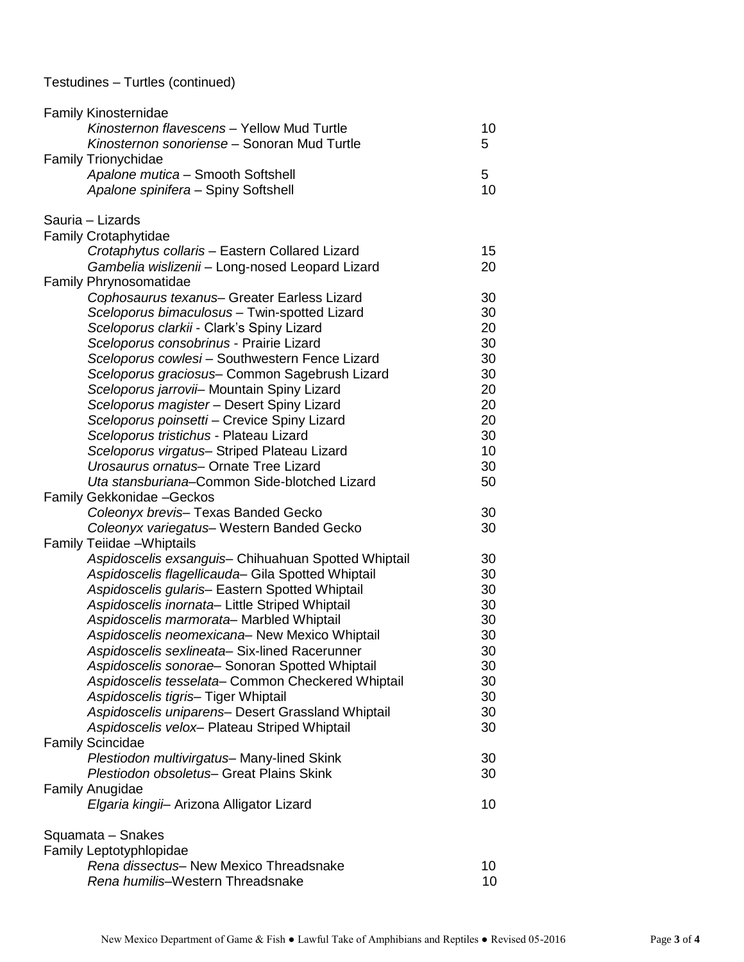# Testudines – Turtles (continued)

| <b>Family Kinosternidae</b>                                           |    |
|-----------------------------------------------------------------------|----|
| Kinosternon flavescens - Yellow Mud Turtle                            | 10 |
| Kinosternon sonoriense - Sonoran Mud Turtle                           | 5  |
| <b>Family Trionychidae</b>                                            |    |
| Apalone mutica - Smooth Softshell                                     | 5  |
| Apalone spinifera - Spiny Softshell                                   | 10 |
| Sauria - Lizards                                                      |    |
| <b>Family Crotaphytidae</b>                                           |    |
| Crotaphytus collaris - Eastern Collared Lizard                        | 15 |
| Gambelia wislizenii - Long-nosed Leopard Lizard                       | 20 |
| <b>Family Phrynosomatidae</b>                                         |    |
| Cophosaurus texanus- Greater Earless Lizard                           | 30 |
| Sceloporus bimaculosus - Twin-spotted Lizard                          | 30 |
| Sceloporus clarkii - Clark's Spiny Lizard                             | 20 |
| Sceloporus consobrinus - Prairie Lizard                               | 30 |
| Sceloporus cowlesi - Southwestern Fence Lizard                        | 30 |
| Sceloporus graciosus- Common Sagebrush Lizard                         | 30 |
| Sceloporus jarrovii- Mountain Spiny Lizard                            | 20 |
| Sceloporus magister - Desert Spiny Lizard                             | 20 |
| Sceloporus poinsetti - Crevice Spiny Lizard                           | 20 |
| Sceloporus tristichus - Plateau Lizard                                | 30 |
| Sceloporus virgatus- Striped Plateau Lizard                           | 10 |
| Urosaurus ornatus- Ornate Tree Lizard                                 | 30 |
| Uta stansburiana-Common Side-blotched Lizard                          | 50 |
| Family Gekkonidae - Geckos                                            |    |
| Coleonyx brevis- Texas Banded Gecko                                   | 30 |
| Coleonyx variegatus- Western Banded Gecko                             | 30 |
| Family Teiidae - Whiptails                                            |    |
| Aspidoscelis exsanguis- Chihuahuan Spotted Whiptail                   | 30 |
| Aspidoscelis flagellicauda- Gila Spotted Whiptail                     | 30 |
| Aspidoscelis gularis- Eastern Spotted Whiptail                        | 30 |
| Aspidoscelis inornata- Little Striped Whiptail                        | 30 |
| Aspidoscelis marmorata- Marbled Whiptail                              | 30 |
| Aspidoscelis neomexicana- New Mexico Whiptail                         | 30 |
| Aspidoscelis sexlineata-Six-lined Racerunner                          | 30 |
| Aspidoscelis sonorae- Sonoran Spotted Whiptail                        | 30 |
| Aspidoscelis tesselata- Common Checkered Whiptail                     | 30 |
| Aspidoscelis tigris- Tiger Whiptail                                   | 30 |
| Aspidoscelis uniparens- Desert Grassland Whiptail                     | 30 |
| Aspidoscelis velox- Plateau Striped Whiptail                          | 30 |
| <b>Family Scincidae</b><br>Plestiodon multivirgatus- Many-lined Skink | 30 |
| Plestiodon obsoletus- Great Plains Skink                              |    |
| <b>Family Anugidae</b>                                                | 30 |
| Elgaria kingii- Arizona Alligator Lizard                              | 10 |
|                                                                       |    |
| Squamata - Snakes                                                     |    |
| <b>Family Leptotyphlopidae</b>                                        |    |
| Rena dissectus- New Mexico Threadsnake                                | 10 |
| Rena humilis-Western Threadsnake                                      | 10 |